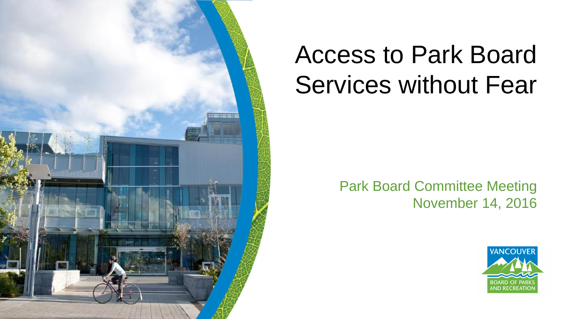

# Access to Park Board Services without Fear

#### Park Board Committee Meeting November 14, 2016

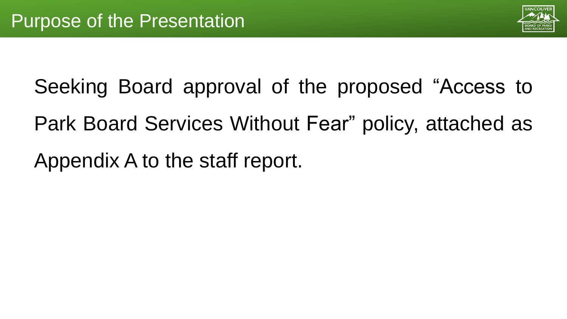

Seeking Board approval of the proposed "Access to Park Board Services Without Fear" policy, attached as Appendix A to the staff report.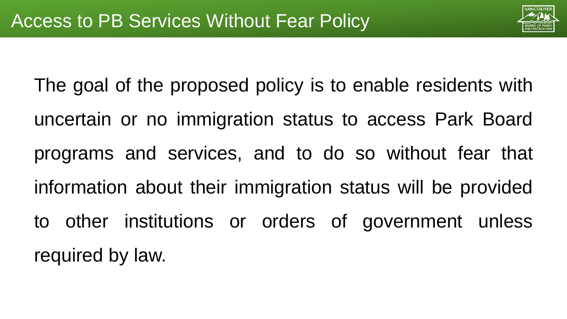

The goal of the proposed policy is to enable residents with uncertain or no immigration status to access Park Board programs and services, and to do so without fear that information about their immigration status will be provided to other institutions or orders of government unless required by law.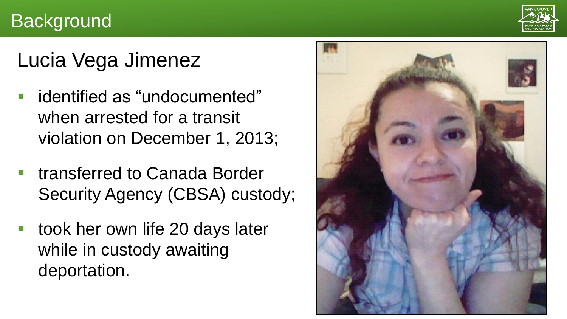### **Background**



## Lucia Vega Jimenez

- identified as "undocumented" when arrested for a transit violation on December 1, 2013;
- transferred to Canada Border Security Agency (CBSA) custody;
- took her own life 20 days later while in custody awaiting deportation.

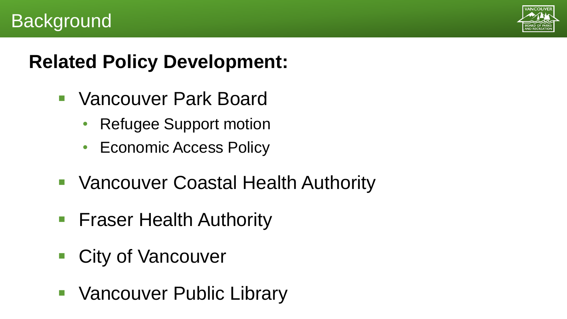

### **Background**

### **Related Policy Development:**

- Vancouver Park Board
	- Refugee Support motion
	- Economic Access Policy
- **Vancouver Coastal Health Authority**
- **Fiaser Health Authority**
- **City of Vancouver**
- **Vancouver Public Library**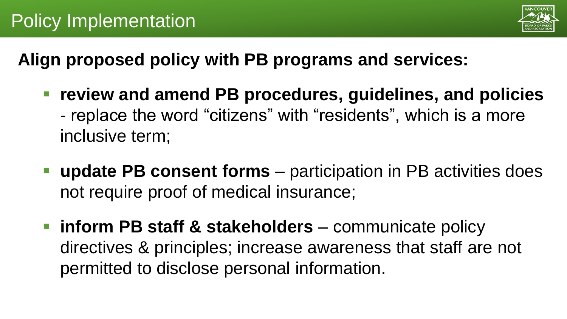

**Align proposed policy with PB programs and services:**

- **review and amend PB procedures, guidelines, and policies** - replace the word "citizens" with "residents", which is a more inclusive term;
- **update PB consent forms**  participation in PB activities does not require proof of medical insurance;
- **inform PB staff & stakeholders** communicate policy directives & principles; increase awareness that staff are not permitted to disclose personal information.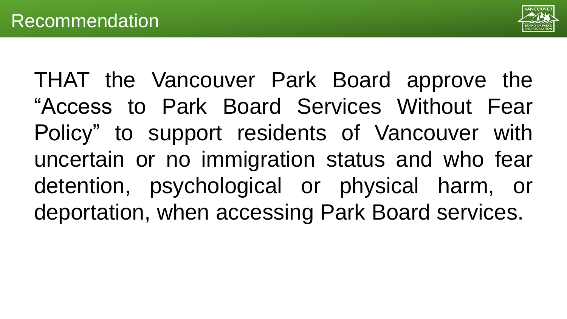

THAT the Vancouver Park Board approve the "Access to Park Board Services Without Fear Policy" to support residents of Vancouver with uncertain or no immigration status and who fear detention, psychological or physical harm, or deportation, when accessing Park Board services.